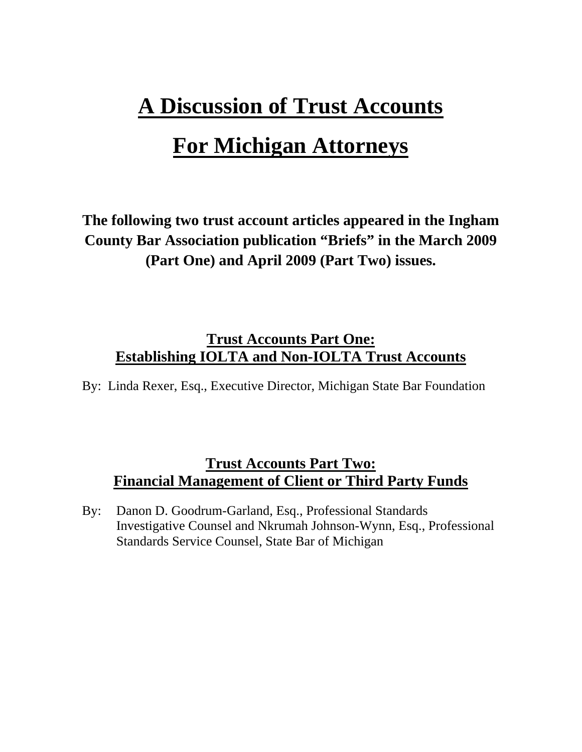# **A Discussion of Trust Accounts**

## **For Michigan Attorneys**

**The following two trust account articles appeared in the Ingham County Bar Association publication "Briefs" in the March 2009 (Part One) and April 2009 (Part Two) issues.** 

### **Trust Accounts Part One: Establishing IOLTA and Non-IOLTA Trust Accounts**

By: Linda Rexer, Esq., Executive Director, Michigan State Bar Foundation

## **Trust Accounts Part Two: Financial Management of Client or Third Party Funds**

By: Danon D. Goodrum-Garland, Esq., Professional Standards Investigative Counsel and Nkrumah Johnson-Wynn, Esq., Professional Standards Service Counsel, State Bar of Michigan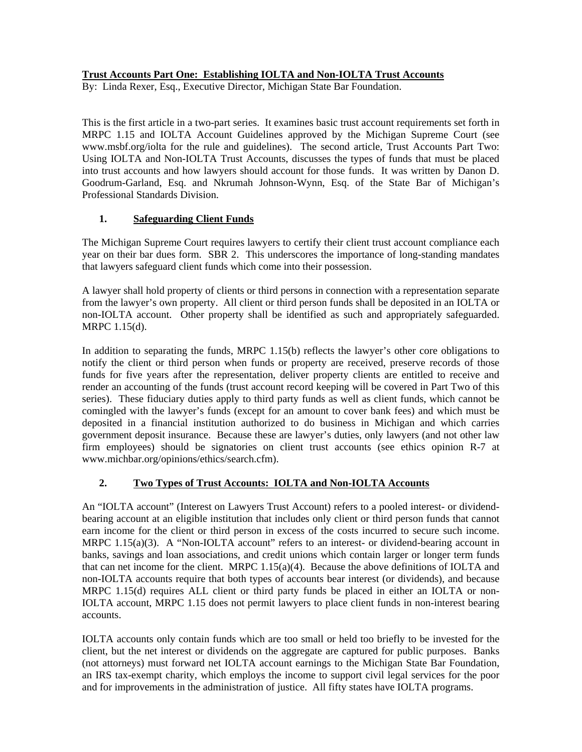#### **Trust Accounts Part One: Establishing IOLTA and Non-IOLTA Trust Accounts**

By: Linda Rexer, Esq., Executive Director, Michigan State Bar Foundation.

This is the first article in a two-part series. It examines basic trust account requirements set forth in MRPC 1.15 and IOLTA Account Guidelines approved by the Michigan Supreme Court (see www.msbf.org/iolta for the rule and guidelines). The second article, Trust Accounts Part Two: Using IOLTA and Non-IOLTA Trust Accounts, discusses the types of funds that must be placed into trust accounts and how lawyers should account for those funds. It was written by Danon D. Goodrum-Garland, Esq. and Nkrumah Johnson-Wynn, Esq. of the State Bar of Michigan's Professional Standards Division.

#### **1. Safeguarding Client Funds**

The Michigan Supreme Court requires lawyers to certify their client trust account compliance each year on their bar dues form. SBR 2. This underscores the importance of long-standing mandates that lawyers safeguard client funds which come into their possession.

A lawyer shall hold property of clients or third persons in connection with a representation separate from the lawyer's own property. All client or third person funds shall be deposited in an IOLTA or non-IOLTA account. Other property shall be identified as such and appropriately safeguarded. MRPC 1.15(d).

In addition to separating the funds, MRPC 1.15(b) reflects the lawyer's other core obligations to notify the client or third person when funds or property are received, preserve records of those funds for five years after the representation, deliver property clients are entitled to receive and render an accounting of the funds (trust account record keeping will be covered in Part Two of this series). These fiduciary duties apply to third party funds as well as client funds, which cannot be comingled with the lawyer's funds (except for an amount to cover bank fees) and which must be deposited in a financial institution authorized to do business in Michigan and which carries government deposit insurance. Because these are lawyer's duties, only lawyers (and not other law firm employees) should be signatories on client trust accounts (see ethics opinion R-7 at www.michbar.org/opinions/ethics/search.cfm).

#### **2. Two Types of Trust Accounts: IOLTA and Non-IOLTA Accounts**

An "IOLTA account" (Interest on Lawyers Trust Account) refers to a pooled interest- or dividendbearing account at an eligible institution that includes only client or third person funds that cannot earn income for the client or third person in excess of the costs incurred to secure such income. MRPC 1.15(a)(3). A "Non-IOLTA account" refers to an interest- or dividend-bearing account in banks, savings and loan associations, and credit unions which contain larger or longer term funds that can net income for the client. MRPC  $1.15(a)(4)$ . Because the above definitions of IOLTA and non-IOLTA accounts require that both types of accounts bear interest (or dividends), and because MRPC 1.15(d) requires ALL client or third party funds be placed in either an IOLTA or non-IOLTA account, MRPC 1.15 does not permit lawyers to place client funds in non-interest bearing accounts.

IOLTA accounts only contain funds which are too small or held too briefly to be invested for the client, but the net interest or dividends on the aggregate are captured for public purposes. Banks (not attorneys) must forward net IOLTA account earnings to the Michigan State Bar Foundation, an IRS tax-exempt charity, which employs the income to support civil legal services for the poor and for improvements in the administration of justice. All fifty states have IOLTA programs.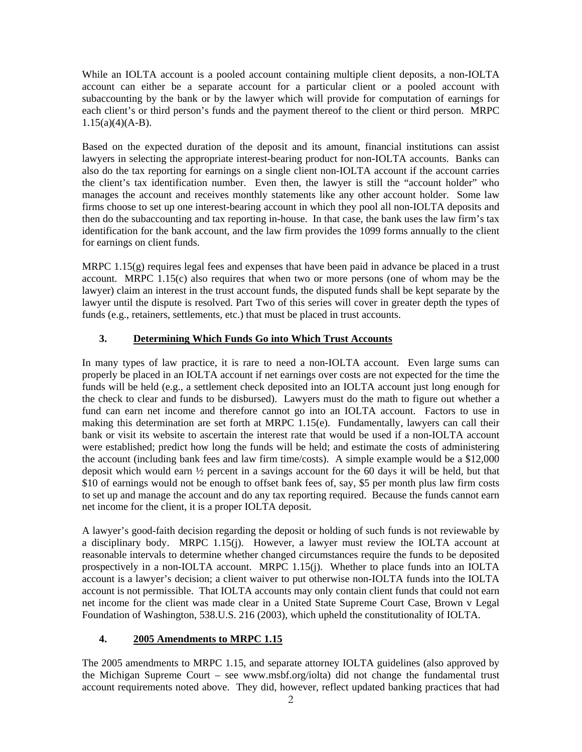While an IOLTA account is a pooled account containing multiple client deposits, a non-IOLTA account can either be a separate account for a particular client or a pooled account with subaccounting by the bank or by the lawyer which will provide for computation of earnings for each client's or third person's funds and the payment thereof to the client or third person. MRPC 1.15(a)(4)(A-B).

Based on the expected duration of the deposit and its amount, financial institutions can assist lawyers in selecting the appropriate interest-bearing product for non-IOLTA accounts. Banks can also do the tax reporting for earnings on a single client non-IOLTA account if the account carries the client's tax identification number. Even then, the lawyer is still the "account holder" who manages the account and receives monthly statements like any other account holder. Some law firms choose to set up one interest-bearing account in which they pool all non-IOLTA deposits and then do the subaccounting and tax reporting in-house. In that case, the bank uses the law firm's tax identification for the bank account, and the law firm provides the 1099 forms annually to the client for earnings on client funds.

MRPC 1.15(g) requires legal fees and expenses that have been paid in advance be placed in a trust account. MRPC 1.15(c) also requires that when two or more persons (one of whom may be the lawyer) claim an interest in the trust account funds, the disputed funds shall be kept separate by the lawyer until the dispute is resolved. Part Two of this series will cover in greater depth the types of funds (e.g., retainers, settlements, etc.) that must be placed in trust accounts.

#### **3. Determining Which Funds Go into Which Trust Accounts**

In many types of law practice, it is rare to need a non-IOLTA account. Even large sums can properly be placed in an IOLTA account if net earnings over costs are not expected for the time the funds will be held (e.g., a settlement check deposited into an IOLTA account just long enough for the check to clear and funds to be disbursed). Lawyers must do the math to figure out whether a fund can earn net income and therefore cannot go into an IOLTA account. Factors to use in making this determination are set forth at MRPC 1.15(e). Fundamentally, lawyers can call their bank or visit its website to ascertain the interest rate that would be used if a non-IOLTA account were established; predict how long the funds will be held; and estimate the costs of administering the account (including bank fees and law firm time/costs). A simple example would be a \$12,000 deposit which would earn ½ percent in a savings account for the 60 days it will be held, but that \$10 of earnings would not be enough to offset bank fees of, say, \$5 per month plus law firm costs to set up and manage the account and do any tax reporting required. Because the funds cannot earn net income for the client, it is a proper IOLTA deposit.

A lawyer's good-faith decision regarding the deposit or holding of such funds is not reviewable by a disciplinary body. MRPC 1.15(j). However, a lawyer must review the IOLTA account at reasonable intervals to determine whether changed circumstances require the funds to be deposited prospectively in a non-IOLTA account. MRPC 1.15(j). Whether to place funds into an IOLTA account is a lawyer's decision; a client waiver to put otherwise non-IOLTA funds into the IOLTA account is not permissible. That IOLTA accounts may only contain client funds that could not earn net income for the client was made clear in a United State Supreme Court Case, Brown v Legal Foundation of Washington, 538.U.S. 216 (2003), which upheld the constitutionality of IOLTA.

#### **4. 2005 Amendments to MRPC 1.15**

The 2005 amendments to MRPC 1.15, and separate attorney IOLTA guidelines (also approved by the Michigan Supreme Court – see [www.msbf.org/iolta](http://www.msbf.org/iolta)) did not change the fundamental trust account requirements noted above. They did, however, reflect updated banking practices that had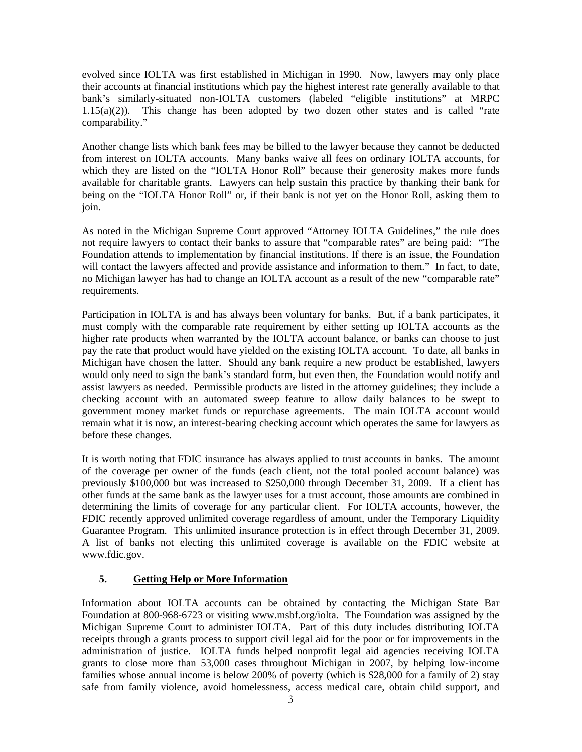evolved since IOLTA was first established in Michigan in 1990. Now, lawyers may only place their accounts at financial institutions which pay the highest interest rate generally available to that bank's similarly-situated non-IOLTA customers (labeled "eligible institutions" at MRPC 1.15(a)(2)). This change has been adopted by two dozen other states and is called "rate comparability."

Another change lists which bank fees may be billed to the lawyer because they cannot be deducted from interest on IOLTA accounts. Many banks waive all fees on ordinary IOLTA accounts, for which they are listed on the "IOLTA Honor Roll" because their generosity makes more funds available for charitable grants. Lawyers can help sustain this practice by thanking their bank for being on the "IOLTA Honor Roll" or, if their bank is not yet on the Honor Roll, asking them to join.

As noted in the Michigan Supreme Court approved "Attorney IOLTA Guidelines," the rule does not require lawyers to contact their banks to assure that "comparable rates" are being paid: "The Foundation attends to implementation by financial institutions. If there is an issue, the Foundation will contact the lawyers affected and provide assistance and information to them." In fact, to date, no Michigan lawyer has had to change an IOLTA account as a result of the new "comparable rate" requirements.

Participation in IOLTA is and has always been voluntary for banks. But, if a bank participates, it must comply with the comparable rate requirement by either setting up IOLTA accounts as the higher rate products when warranted by the IOLTA account balance, or banks can choose to just pay the rate that product would have yielded on the existing IOLTA account. To date, all banks in Michigan have chosen the latter. Should any bank require a new product be established, lawyers would only need to sign the bank's standard form, but even then, the Foundation would notify and assist lawyers as needed. Permissible products are listed in the attorney guidelines; they include a checking account with an automated sweep feature to allow daily balances to be swept to government money market funds or repurchase agreements. The main IOLTA account would remain what it is now, an interest-bearing checking account which operates the same for lawyers as before these changes.

It is worth noting that FDIC insurance has always applied to trust accounts in banks. The amount of the coverage per owner of the funds (each client, not the total pooled account balance) was previously \$100,000 but was increased to \$250,000 through December 31, 2009. If a client has other funds at the same bank as the lawyer uses for a trust account, those amounts are combined in determining the limits of coverage for any particular client. For IOLTA accounts, however, the FDIC recently approved unlimited coverage regardless of amount, under the Temporary Liquidity Guarantee Program. This unlimited insurance protection is in effect through December 31, 2009. A list of banks not electing this unlimited coverage is available on the FDIC website at [www.fdic.gov](http://www.fdic.gov/).

#### **5. Getting Help or More Information**

Information about IOLTA accounts can be obtained by contacting the Michigan State Bar Foundation at 800-968-6723 or visiting [www.msbf.org/iolta.](http://www.msbf.org/iolta) The Foundation was assigned by the Michigan Supreme Court to administer IOLTA. Part of this duty includes distributing IOLTA receipts through a grants process to support civil legal aid for the poor or for improvements in the administration of justice. IOLTA funds helped nonprofit legal aid agencies receiving IOLTA grants to close more than 53,000 cases throughout Michigan in 2007, by helping low-income families whose annual income is below 200% of poverty (which is \$28,000 for a family of 2) stay safe from family violence, avoid homelessness, access medical care, obtain child support, and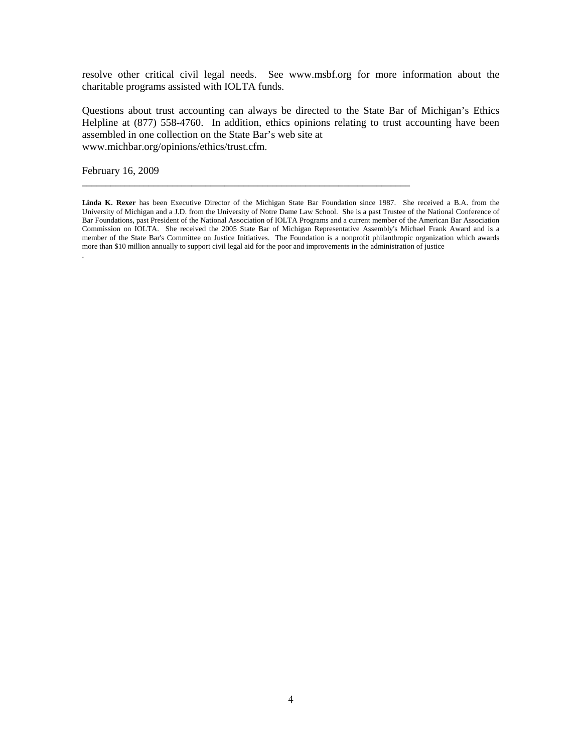resolve other critical civil legal needs. See [www.msbf.org](http://www.msbf.org/) for more information about the charitable programs assisted with IOLTA funds.

Questions about trust accounting can always be directed to the State Bar of Michigan's Ethics Helpline at (877) 558-4760. In addition, ethics opinions relating to trust accounting have been assembled in one collection on the State Bar's web site at [www.michbar.org/opinions/ethics/trust.cfm.](http://www.michbar.org/opinions/ethics/trust.cfm)

February 16, 2009

**Linda K. Rexer** has been Executive Director of the Michigan State Bar Foundation since 1987. She received a B.A. from the University of Michigan and a J.D. from the University of Notre Dame Law School. She is a past Trustee of the National Conference of Bar Foundations, past President of the National Association of IOLTA Programs and a current member of the American Bar Association Commission on IOLTA. She received the 2005 State Bar of Michigan Representative Assembly's Michael Frank Award and is a member of the State Bar's Committee on Justice Initiatives. The Foundation is a nonprofit philanthropic organization which awards more than \$10 million annually to support civil legal aid for the poor and improvements in the administration of justice .

\_\_\_\_\_\_\_\_\_\_\_\_\_\_\_\_\_\_\_\_\_\_\_\_\_\_\_\_\_\_\_\_\_\_\_\_\_\_\_\_\_\_\_\_\_\_\_\_\_\_\_\_\_\_\_\_\_\_\_\_\_\_\_\_\_\_\_\_\_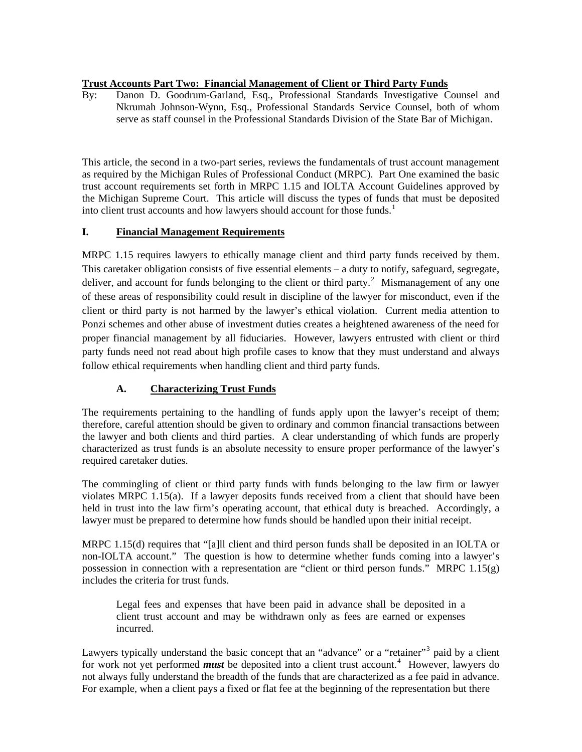#### **Trust Accounts Part Two: Financial Management of Client or Third Party Funds**

By: Danon D. Goodrum-Garland, Esq., Professional Standards Investigative Counsel and Nkrumah Johnson-Wynn, Esq., Professional Standards Service Counsel, both of whom serve as staff counsel in the Professional Standards Division of the State Bar of Michigan.

This article, the second in a two-part series, reviews the fundamentals of trust account management as required by the Michigan Rules of Professional Conduct (MRPC). Part One examined the basic trust account requirements set forth in MRPC 1.15 and IOLTA Account Guidelines approved by the Michigan Supreme Court. This article will discuss the types of funds that must be deposited into client trust accounts and how lawyers should account for those funds.<sup>[1](#page-8-0)</sup>

#### **I. Financial Management Requirements**

MRPC 1.15 requires lawyers to ethically manage client and third party funds received by them. This caretaker obligation consists of five essential elements – a duty to notify, safeguard, segregate, deliver, and account for funds belonging to the client or third party.<sup>[2](#page-8-1)</sup> Mismanagement of any one of these areas of responsibility could result in discipline of the lawyer for misconduct, even if the client or third party is not harmed by the lawyer's ethical violation. Current media attention to Ponzi schemes and other abuse of investment duties creates a heightened awareness of the need for proper financial management by all fiduciaries. However, lawyers entrusted with client or third party funds need not read about high profile cases to know that they must understand and always follow ethical requirements when handling client and third party funds.

#### **A. Characterizing Trust Funds**

The requirements pertaining to the handling of funds apply upon the lawyer's receipt of them; therefore, careful attention should be given to ordinary and common financial transactions between the lawyer and both clients and third parties. A clear understanding of which funds are properly characterized as trust funds is an absolute necessity to ensure proper performance of the lawyer's required caretaker duties.

The commingling of client or third party funds with funds belonging to the law firm or lawyer violates MRPC 1.15(a). If a lawyer deposits funds received from a client that should have been held in trust into the law firm's operating account, that ethical duty is breached. Accordingly, a lawyer must be prepared to determine how funds should be handled upon their initial receipt.

MRPC 1.15(d) requires that "[a]ll client and third person funds shall be deposited in an IOLTA or non-IOLTA account." The question is how to determine whether funds coming into a lawyer's possession in connection with a representation are "client or third person funds." MRPC 1.15(g) includes the criteria for trust funds.

Legal fees and expenses that have been paid in advance shall be deposited in a client trust account and may be withdrawn only as fees are earned or expenses incurred.

Lawyers typically understand the basic concept that an "advance" or a "retainer"<sup>[3](#page-8-1)</sup> paid by a client for work not yet performed *must* be deposited into a client trust account.<sup>[4](#page-8-1)</sup> However, lawyers do not always fully understand the breadth of the funds that are characterized as a fee paid in advance. For example, when a client pays a fixed or flat fee at the beginning of the representation but there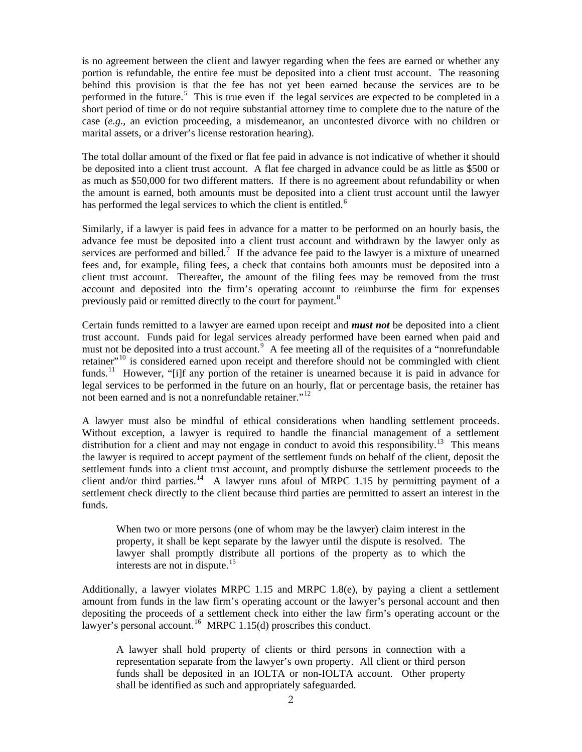is no agreement between the client and lawyer regarding when the fees are earned or whether any portion is refundable, the entire fee must be deposited into a client trust account. The reasoning behind this provision is that the fee has not yet been earned because the services are to be performed in the future.<sup>[5](#page-8-1)</sup> This is true even if the legal services are expected to be completed in a short period of time or do not require substantial attorney time to complete due to the nature of the case (*e.g.*, an eviction proceeding, a misdemeanor, an uncontested divorce with no children or marital assets, or a driver's license restoration hearing).

The total dollar amount of the fixed or flat fee paid in advance is not indicative of whether it should be deposited into a client trust account. A flat fee charged in advance could be as little as \$500 or as much as \$50,000 for two different matters. If there is no agreement about refundability or when the amount is earned, both amounts must be deposited into a client trust account until the lawyer has performed the legal services to which the client is entitled.<sup>[6](#page-8-1)</sup>

Similarly, if a lawyer is paid fees in advance for a matter to be performed on an hourly basis, the advance fee must be deposited into a client trust account and withdrawn by the lawyer only as services are performed and billed.<sup>[7](#page-8-1)</sup> If the advance fee paid to the lawyer is a mixture of unearned fees and, for example, filing fees, a check that contains both amounts must be deposited into a client trust account. Thereafter, the amount of the filing fees may be removed from the trust account and deposited into the firm's operating account to reimburse the firm for expenses previously paid or remitted directly to the court for payment.<sup>[8](#page-8-1)</sup>

Certain funds remitted to a lawyer are earned upon receipt and *must not* be deposited into a client trust account. Funds paid for legal services already performed have been earned when paid and must not be deposited into a trust account.<sup>[9](#page-8-1)</sup> A fee meeting all of the requisites of a "nonrefundable" retainer"<sup>[10](#page-8-1)</sup> is considered earned upon receipt and therefore should not be commingled with client funds.<sup>[11](#page-8-1)</sup> However, "[i]f any portion of the retainer is unearned because it is paid in advance for legal services to be performed in the future on an hourly, flat or percentage basis, the retainer has not been earned and is not a nonrefundable retainer."<sup>[12](#page-8-1)</sup>

A lawyer must also be mindful of ethical considerations when handling settlement proceeds. Without exception, a lawyer is required to handle the financial management of a settlement distribution for a client and may not engage in conduct to avoid this responsibility.<sup>[13](#page-8-1)</sup> This means the lawyer is required to accept payment of the settlement funds on behalf of the client, deposit the settlement funds into a client trust account, and promptly disburse the settlement proceeds to the client and/or third parties.<sup>[14](#page-8-1)</sup> A lawyer runs afoul of MRPC 1.15 by permitting payment of a settlement check directly to the client because third parties are permitted to assert an interest in the funds.

When two or more persons (one of whom may be the lawyer) claim interest in the property, it shall be kept separate by the lawyer until the dispute is resolved. The lawyer shall promptly distribute all portions of the property as to which the interests are not in dispute. $15$ 

Additionally, a lawyer violates MRPC 1.15 and MRPC 1.8(e), by paying a client a settlement amount from funds in the law firm's operating account or the lawyer's personal account and then depositing the proceeds of a settlement check into either the law firm's operating account or the lawyer's personal account.<sup>[16](#page-8-1)</sup> MRPC 1.15(d) proscribes this conduct.

A lawyer shall hold property of clients or third persons in connection with a representation separate from the lawyer's own property. All client or third person funds shall be deposited in an IOLTA or non-IOLTA account. Other property shall be identified as such and appropriately safeguarded.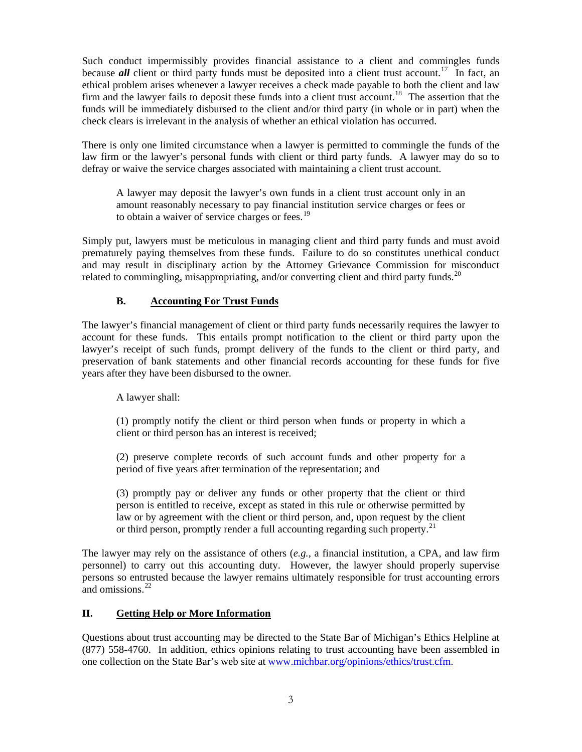Such conduct impermissibly provides financial assistance to a client and commingles funds because *all* client or third party funds must be deposited into a client trust account.<sup>[17](#page-8-1)</sup> In fact, an ethical problem arises whenever a lawyer receives a check made payable to both the client and law firm and the lawyer fails to deposit these funds into a client trust account.<sup>[18](#page-8-1)</sup> The assertion that the funds will be immediately disbursed to the client and/or third party (in whole or in part) when the check clears is irrelevant in the analysis of whether an ethical violation has occurred.

There is only one limited circumstance when a lawyer is permitted to commingle the funds of the law firm or the lawyer's personal funds with client or third party funds. A lawyer may do so to defray or waive the service charges associated with maintaining a client trust account.

A lawyer may deposit the lawyer's own funds in a client trust account only in an amount reasonably necessary to pay financial institution service charges or fees or to obtain a waiver of service charges or fees.<sup>[19](#page-8-1)</sup>

Simply put, lawyers must be meticulous in managing client and third party funds and must avoid prematurely paying themselves from these funds. Failure to do so constitutes unethical conduct and may result in disciplinary action by the Attorney Grievance Commission for misconduct related to commingling, misappropriating, and/or converting client and third party funds. $^{20}$  $^{20}$  $^{20}$ 

#### **B. Accounting For Trust Funds**

The lawyer's financial management of client or third party funds necessarily requires the lawyer to account for these funds. This entails prompt notification to the client or third party upon the lawyer's receipt of such funds, prompt delivery of the funds to the client or third party, and preservation of bank statements and other financial records accounting for these funds for five years after they have been disbursed to the owner.

A lawyer shall:

(1) promptly notify the client or third person when funds or property in which a client or third person has an interest is received;

(2) preserve complete records of such account funds and other property for a period of five years after termination of the representation; and

(3) promptly pay or deliver any funds or other property that the client or third person is entitled to receive, except as stated in this rule or otherwise permitted by law or by agreement with the client or third person, and, upon request by the client or third person, promptly render a full accounting regarding such property.<sup>[21](#page-8-1)</sup>

The lawyer may rely on the assistance of others (*e.g.*, a financial institution, a CPA, and law firm personnel) to carry out this accounting duty. However, the lawyer should properly supervise persons so entrusted because the lawyer remains ultimately responsible for trust accounting errors and omissions.[22](#page-8-1)

#### **II. Getting Help or More Information**

Questions about trust accounting may be directed to the State Bar of Michigan's Ethics Helpline at (877) 558-4760. In addition, ethics opinions relating to trust accounting have been assembled in one collection on the State Bar's web site at [www.michbar.org/opinions/ethics/trust.cfm](http://www.michbar.org/opinions/ethics/trust.cfm).